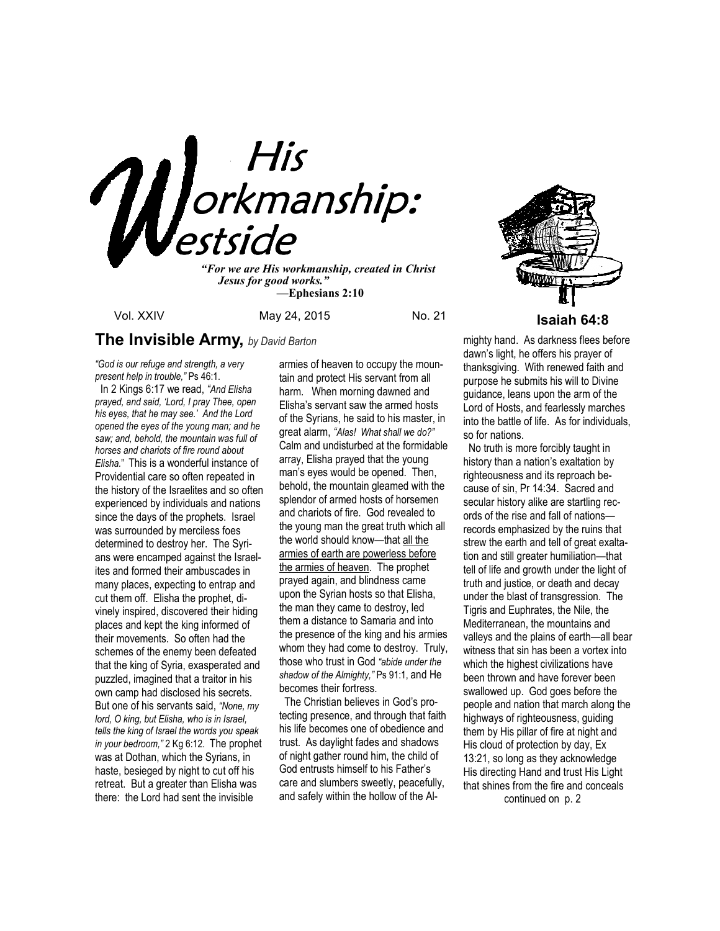

*"For we are His workmanship, created in Christ Jesus for good works." —***Ephesians 2:10**



Vol. XXIV May 24, 2015 No. 21 **Isaiah 64:8** 

# **The Invisible Army,** *by David Barton*

*"God is our refuge and strength, a very present help in trouble,"* Ps 46:1.

 In 2 Kings 6:17 we read, *"And Elisha prayed, and said, 'Lord, I pray Thee, open his eyes, that he may see.' And the Lord opened the eyes of the young man; and he saw; and, behold, the mountain was full of horses and chariots of fire round about Elisha.*" This is a wonderful instance of Providential care so often repeated in the history of the Israelites and so often experienced by individuals and nations since the days of the prophets. Israel was surrounded by merciless foes determined to destroy her. The Syrians were encamped against the Israelites and formed their ambuscades in many places, expecting to entrap and cut them off. Elisha the prophet, divinely inspired, discovered their hiding places and kept the king informed of their movements. So often had the schemes of the enemy been defeated that the king of Syria, exasperated and puzzled, imagined that a traitor in his own camp had disclosed his secrets. But one of his servants said, *"None, my lord, O king, but Elisha, who is in Israel, tells the king of Israel the words you speak in your bedroom,"* 2 Kg 6:12. The prophet was at Dothan, which the Syrians, in haste, besieged by night to cut off his retreat. But a greater than Elisha was there: the Lord had sent the invisible

armies of heaven to occupy the mountain and protect His servant from all harm. When morning dawned and Elisha's servant saw the armed hosts of the Syrians, he said to his master, in great alarm, *"Alas! What shall we do?"* Calm and undisturbed at the formidable array, Elisha prayed that the young man's eyes would be opened. Then, behold, the mountain gleamed with the splendor of armed hosts of horsemen and chariots of fire. God revealed to the young man the great truth which all the world should know—that all the armies of earth are powerless before the armies of heaven. The prophet prayed again, and blindness came upon the Syrian hosts so that Elisha, the man they came to destroy, led them a distance to Samaria and into the presence of the king and his armies whom they had come to destroy. Truly, those who trust in God *"abide under the shadow of the Almighty,"* Ps 91:1, and He becomes their fortress.

 The Christian believes in God's protecting presence, and through that faith his life becomes one of obedience and trust. As daylight fades and shadows of night gather round him, the child of God entrusts himself to his Father's care and slumbers sweetly, peacefully, and safely within the hollow of the Almighty hand. As darkness flees before dawn's light, he offers his prayer of thanksgiving. With renewed faith and purpose he submits his will to Divine guidance, leans upon the arm of the Lord of Hosts, and fearlessly marches into the battle of life. As for individuals, so for nations.

 No truth is more forcibly taught in history than a nation's exaltation by righteousness and its reproach because of sin, Pr 14:34. Sacred and secular history alike are startling records of the rise and fall of nations records emphasized by the ruins that strew the earth and tell of great exaltation and still greater humiliation—that tell of life and growth under the light of truth and justice, or death and decay under the blast of transgression. The Tigris and Euphrates, the Nile, the Mediterranean, the mountains and valleys and the plains of earth—all bear witness that sin has been a vortex into which the highest civilizations have been thrown and have forever been swallowed up. God goes before the people and nation that march along the highways of righteousness, guiding them by His pillar of fire at night and His cloud of protection by day, Ex 13:21, so long as they acknowledge His directing Hand and trust His Light that shines from the fire and conceals

continued on p. 2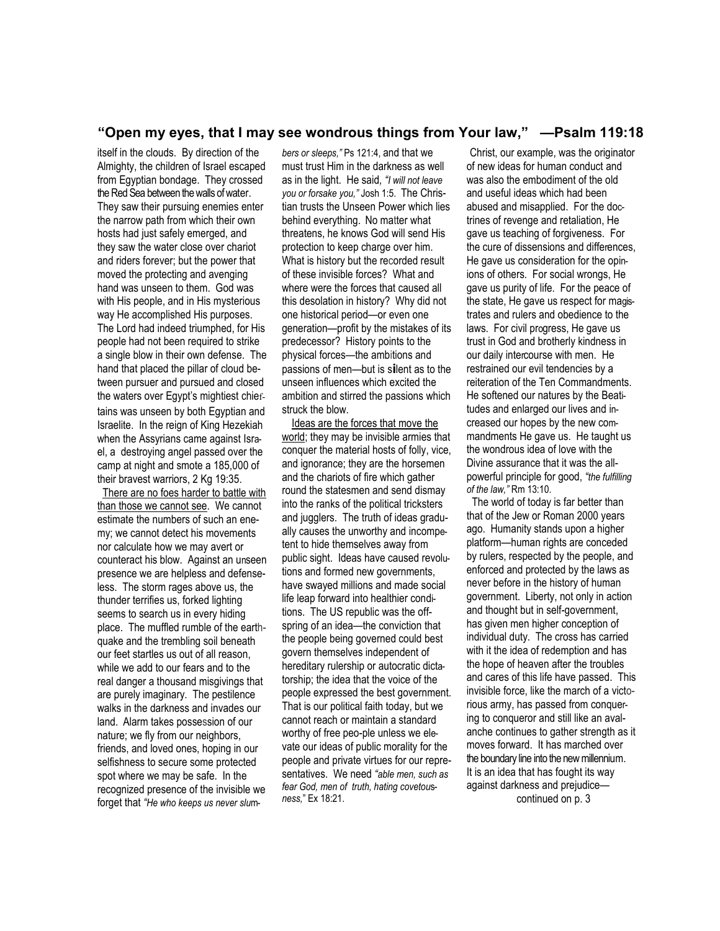## **"Open my eyes, that I may see wondrous things from Your law," —Psalm 119:18**

itself in the clouds. By direction of the Almighty, the children of Israel escaped from Egyptian bondage. They crossed the Red Sea between the walls of water. They saw their pursuing enemies enter the narrow path from which their own hosts had just safely emerged, and they saw the water close over chariot and riders forever; but the power that moved the protecting and avenging hand was unseen to them. God was with His people, and in His mysterious way He accomplished His purposes. The Lord had indeed triumphed, for His people had not been required to strike a single blow in their own defense. The hand that placed the pillar of cloud between pursuer and pursued and closed the waters over Egypt's mightiest chieftains was unseen by both Egyptian and Israelite. In the reign of King Hezekiah when the Assyrians came against Israel, a destroying angel passed over the camp at night and smote a 185,000 of their bravest warriors, 2 Kg 19:35.

There are no foes harder to battle with than those we cannot see. We cannot estimate the numbers of such an enemy; we cannot detect his movements nor calculate how we may avert or counteract his blow. Against an unseen presence we are helpless and defenseless. The storm rages above us, the thunder terrifies us, forked lighting seems to search us in every hiding place. The muffled rumble of the earthquake and the trembling soil beneath our feet startles us out of all reason, while we add to our fears and to the real danger a thousand misgivings that are purely imaginary. The pestilence walks in the darkness and invades our land. Alarm takes possession of our nature; we fly from our neighbors, friends, and loved ones, hoping in our selfishness to secure some protected spot where we may be safe. In the recognized presence of the invisible we forget that *"He who keeps us never slu*m-

*bers or sleeps,"* Ps 121:4, and that we must trust Him in the darkness as well as in the light. He said*, "I will not leave you or forsake you,"* Josh 1:5. The Christian trusts the Unseen Power which lies behind everything. No matter what threatens, he knows God will send His protection to keep charge over him. What is history but the recorded result of these invisible forces? What and where were the forces that caused all this desolation in history? Why did not one historical period—or even one generation—profit by the mistakes of its predecessor? History points to the physical forces—the ambitions and passions of men—but is s**i**lent as to the unseen influences which excited the ambition and stirred the passions which struck the blow.

 Ideas are the forces that move the world; they may be invisible armies that conquer the material hosts of folly, vice, and ignorance; they are the horsemen and the chariots of fire which gather round the statesmen and send dismay into the ranks of the political tricksters and jugglers. The truth of ideas gradually causes the unworthy and incompetent to hide themselves away from public sight. Ideas have caused revolutions and formed new governments, have swayed millions and made social life leap forward into healthier conditions. The US republic was the offspring of an idea—the conviction that the people being governed could best govern themselves independent of hereditary rulership or autocratic dictatorship; the idea that the voice of the people expressed the best government. That is our political faith today, but we cannot reach or maintain a standard worthy of free peo-ple unless we elevate our ideas of public morality for the people and private virtues for our representatives. We need *"able men, such as fear God, men of truth, hating covetou*s*ness,*" Ex 18:21.

Christ, our example, was the originator of new ideas for human conduct and was also the embodiment of the old and useful ideas which had been abused and misapplied. For the doctrines of revenge and retaliation, He gave us teaching of forgiveness. For the cure of dissensions and differences, He gave us consideration for the opinions of others. For social wrongs, He gave us purity of life. For the peace of the state, He gave us respect for magistrates and rulers and obedience to the laws. For civil progress, He gave us trust in God and brotherly kindness in our daily intercourse with men. He restrained our evil tendencies by a reiteration of the Ten Commandments. He softened our natures by the Beatitudes and enlarged our lives and increased our hopes by the new commandments He gave us. He taught us the wondrous idea of love with the Divine assurance that it was the allpowerful principle for good, *"the fulfilling of the law,"* Rm 13:10.

 The world of today is far better than that of the Jew or Roman 2000 years ago. Humanity stands upon a higher platform—human rights are conceded by rulers, respected by the people, and enforced and protected by the laws as never before in the history of human government. Liberty, not only in action and thought but in self-government, has given men higher conception of individual duty. The cross has carried with it the idea of redemption and has the hope of heaven after the troubles and cares of this life have passed. This invisible force, like the march of a victorious army, has passed from conquering to conqueror and still like an avalanche continues to gather strength as it moves forward. It has marched over the boundary line into the new millennium. It is an idea that has fought its way against darkness and prejudice—

continued on p. 3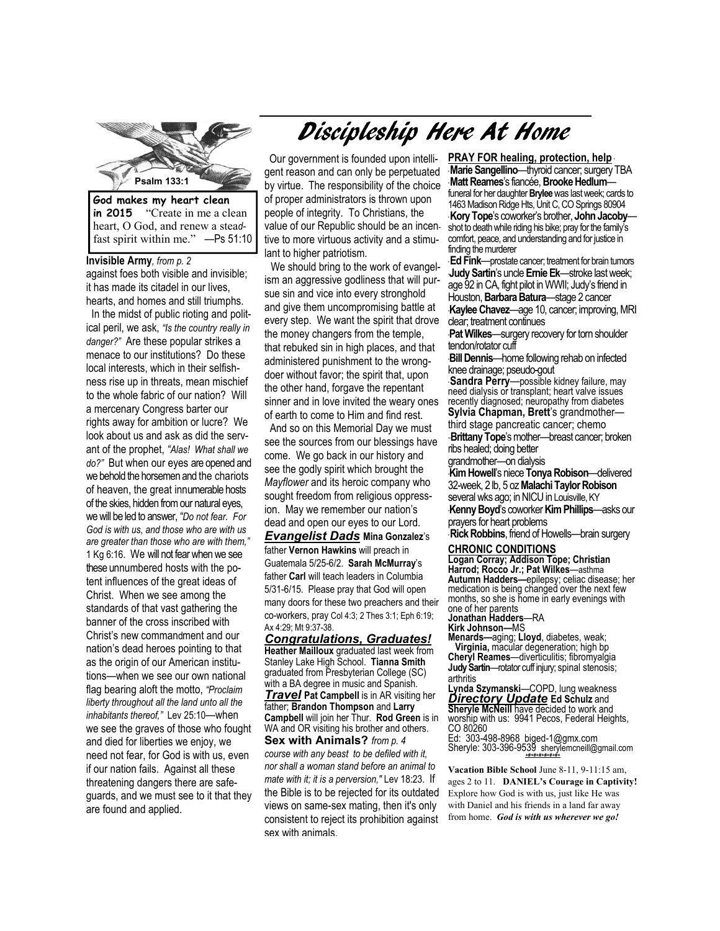

**in 2015** "Create in me a clean heart, O God, and renew a stea*d*fast spirit within me." —Ps 51:10

**Invisible Army***, from p. 2*  against foes both visible and invisible; it has made its citadel in our lives, hearts, and homes and still triumphs.

 In the midst of public rioting and political peril, we ask, *"Is the country really in danger?"* Are these popular strikes a menace to our institutions? Do these local interests, which in their selfishness rise up in threats, mean mischief to the whole fabric of our nation? Will a mercenary Congress barter our rights away for ambition or lucre? We look about us and ask as did the servant of the prophet, *"Alas! What shall we do?"* But when our eyes are opened and we behold the horsemen and the chariots of heaven, the great innumerable hosts of the skies, hidden from our natural eyes, we will be led to answer, *"Do not fear. For God is with us, and those who are with us are greater than those who are with them,"*  1 Kg 6:16. We will not fear when we see these unnumbered hosts with the potent influences of the great ideas of Christ. When we see among the standards of that vast gathering the banner of the cross inscribed with Christ's new commandment and our nation's dead heroes pointing to that as the origin of our American institutions—when we see our own national flag bearing aloft the motto, *"Proclaim liberty throughout all the land unto all the inhabitants thereof,"* Lev 25:10—when we see the graves of those who fought and died for liberties we enjoy, we need not fear, for God is with us, even if our nation fails. Against all these threatening dangers there are safeguards, and we must see to it that they are found and applied.

# Discipleship Here At Home

Our government is founded upon intelligent reason and can only be perpetuated by virtue. The responsibility of the choice of proper administrators is thrown upon people of integrity. To Christians, the value of our Republic should be an incentive to more virtuous activity and a stimulant to higher patriotism.

We should bring to the work of evangelism an aggressive godliness that will pursue sin and vice into every stronghold and give them uncompromising battle at every step. We want the spirit that drove the money changers from the temple, that rebuked sin in high places, and that administered punishment to the wrongdoer without favor; the spirit that, upon the other hand, forgave the repentant sinner and in love invited the weary ones of earth to come to Him and find rest.

 And so on this Memorial Day we must see the sources from our blessings have come. We go back in our history and see the godly spirit which brought the *Mayflower* and its heroic company who sought freedom from religious oppression. May we remember our nation's dead and open our eyes to our Lord.

*Evangelist Dads* **Mina Gonzalez**'s father **Vernon Hawkins** will preach in Guatemala 5/25-6/2. **Sarah McMurray**'s father **Carl** will teach leaders in Columbia 5/31-6/15. Please pray that God will open many doors for these two preachers and their co-workers, pray Col 4:3; 2 Thes 3:1; Eph 6:19; Ax 4:29; Mt 9:37-38.

*Congratulations, Graduates!*  **Heather Mailloux** graduated last week from Stanley Lake High School. **Tianna Smith**  graduated from Presbyterian College (SC) with a BA degree in music and Spanish. *Travel* Pat Campbell is in AR visiting her father; **Brandon Thompson** and **Larry Campbell** will join her Thur. **Rod Green** is in WA and OR visiting his brother and others. **Sex with Animals?** *from p. 4 course with any beast to be defiled with it, nor shall a woman stand before an animal to mate with it; it is a perversion,"* Lev 18:23. If the Bible is to be rejected for its outdated views on same-sex mating, then it's only

consistent to reject its prohibition against

sex with animals.

**PRAY FOR healing, protection, help** \* **Marie Sangellino—thyroid cancer; surgery TBA** \* **Matt Reames**'s fiancée, **Brooke Hedlum** funeral for her daughter **Brylee** was last week; cards to 1463 Madison Ridge Hts, Unit C, CO Springs 80904 **Kory Tope**'s coworker's brother, **John Jacoby** shot to death while riding his bike; pray for the family's comfort, peace, and understanding and for justice in finding the murderer

**Ed Fink**—prostate cancer; treatment for brain tumors \***Judy Sartin**'s uncle **Ernie Ek**—stroke last week; age 92 in CA, fight pilot in WWII; Judy's friend in Houston, **Barbara Batura**—stage 2 cancer \***Kaylee Chavez**—age 10, cancer; improving, MRI clear; treatment continues

\***Pat Wilkes**—surgery recovery for torn shoulder tendon/rotator cuff

\***Bill Dennis**—home following rehab on infected knee drainage; pseudo-gout

\* **Sandra Perry**—possible kidney failure, may need dialysis or transplant; heart valve issues recently diagnosed; neuropathy from diabetes **Sylvia Chapman, Brett**'s grandmother third stage pancreatic cancer; chemo

-**Brittany Tope**'s mother---breast cancer; broken ribs healed; doing better

grandmother—on dialysis

\***Kim Howell**'s niece **Tonya Robison**—delivered 32-week, 2 lb, 5 oz **Malachi Taylor Robison**  several wks ago; in NICU in Louisville, KY

\***Kenny Boyd**'s coworker **Kim Phillips**—asks our prayers for heart problems

**Rick Robbins**, friend of Howells—brain surgery

#### **CHRONIC CONDITIONS**

**Logan Corray; Addison Tope; Christian Harrod; Rocco Jr.; Pat Wilkes**—asthma **Autumn Hadders—**epilepsy; celiac disease; her medication is being changed over the next few months, so she is home in early evenings with one of her parents **Jonathan Hadders**—RA

**Kirk Johnson—**MS

**Menards—**aging; **Lloyd**, diabetes, weak; **Virginia,** macular degeneration; high bp **Cheryl Reames**—diverticulitis; fibromyalgia **Judy Sartin**—rotator cuff injury; spinal stenosis; arthritis

**Lynda Szymanski**—COPD, lung weakness *Directory Update* **Ed Schulz** and **Sheryle McNeill** have decided to work and worship with us: 9941 Pecos, Federal Heights, CO 80260

Ed: 303-498-8968 biged-1@gmx.com Sheryle: 303-396-9539 sherylemcneill@gmail.com *+#+#+#+#+#+#+* 

 **Vacation Bible School** June 8-11, 9-11:15 am, ages 2 to 11. **DANIEL's Courage in Captivity!**  Explore how God is with us, just like He was with Daniel and his friends in a land far away from home. *God is with us wherever we go!*